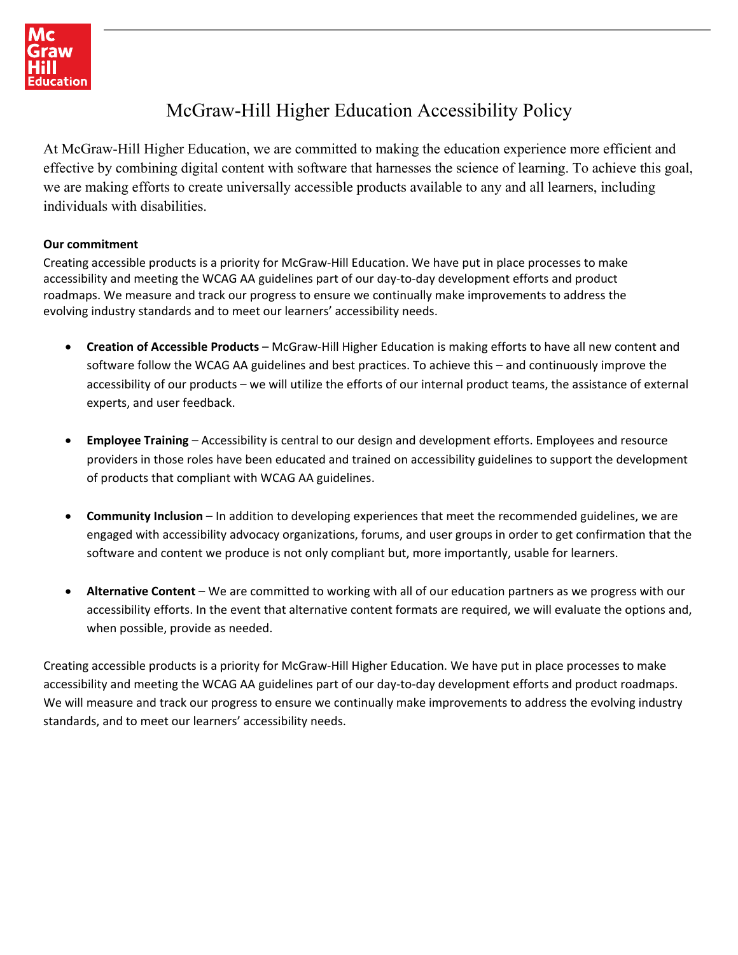

# McGraw-Hill Higher Education Accessibility Policy

At McGraw-Hill Higher Education, we are committed to making the education experience more efficient and effective by combining digital content with software that harnesses the science of learning. To achieve this goal, we are making efforts to create universally accessible products available to any and all learners, including individuals with disabilities.

### **Our commitment**

Creating accessible products is a priority for McGraw‐Hill Education. We have put in place processes to make accessibility and meeting the WCAG AA guidelines part of our day‐to‐day development efforts and product roadmaps. We measure and track our progress to ensure we continually make improvements to address the evolving industry standards and to meet our learners' accessibility needs.

- **Creation of Accessible Products** McGraw‐Hill Higher Education is making efforts to have all new content and software follow the WCAG AA guidelines and best practices. To achieve this – and continuously improve the accessibility of our products – we will utilize the efforts of our internal product teams, the assistance of external experts, and user feedback.
- **Employee Training** Accessibility is central to our design and development efforts. Employees and resource providers in those roles have been educated and trained on accessibility guidelines to support the development of products that compliant with WCAG AA guidelines.
- **Community Inclusion** In addition to developing experiences that meet the recommended guidelines, we are engaged with accessibility advocacy organizations, forums, and user groups in order to get confirmation that the software and content we produce is not only compliant but, more importantly, usable for learners.
- **Alternative Content** We are committed to working with all of our education partners as we progress with our accessibility efforts. In the event that alternative content formats are required, we will evaluate the options and, when possible, provide as needed.

Creating accessible products is a priority for McGraw‐Hill Higher Education. We have put in place processes to make accessibility and meeting the WCAG AA guidelines part of our day‐to‐day development efforts and product roadmaps. We will measure and track our progress to ensure we continually make improvements to address the evolving industry standards, and to meet our learners' accessibility needs.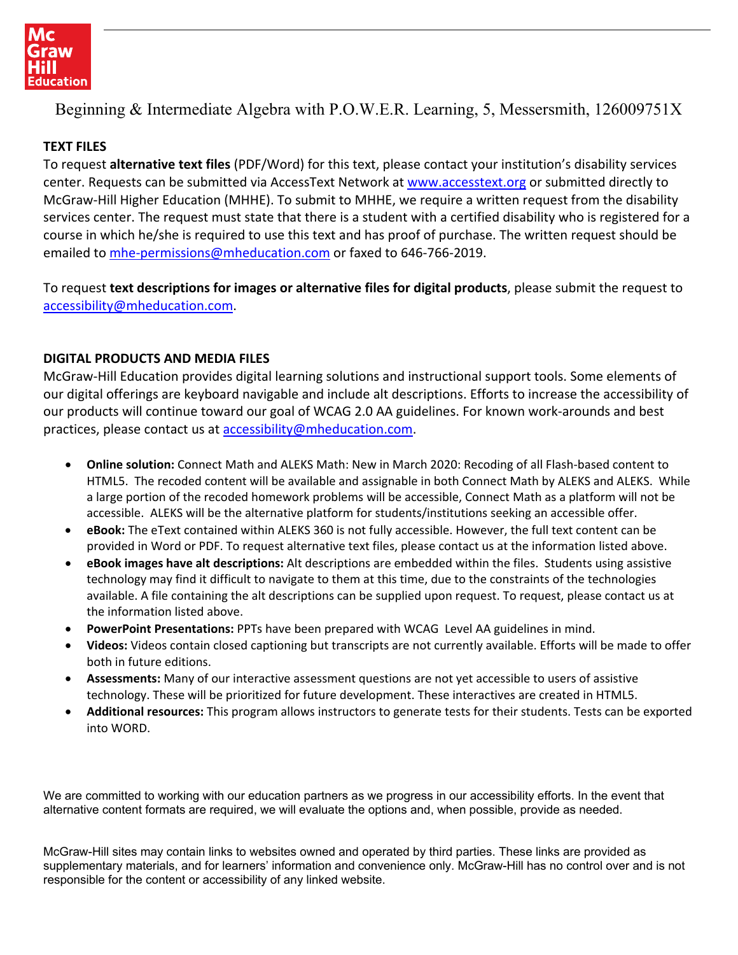

Beginning & Intermediate Algebra with P.O.W.E.R. Learning, 5, Messersmith, 126009751X

## **TEXT FILES**

To request **alternative text files** (PDF/Word) for this text, please contact your institution's disability services center. Requests can be submitted via AccessText Network at [www.accesstext.org](http://www.accesstext.org/) or submitted directly to McGraw‐Hill Higher Education (MHHE). To submit to MHHE, we require a written request from the disability services center. The request must state that there is a student with a certified disability who is registered for a course in which he/she is required to use this text and has proof of purchase. The written request should be emailed to mhe-[permissions@mheducation.com](mailto:mhe-permissions@mheducation.com) or faxed to 646-766-2019.

To request **text descriptions for images or alternative files for digital products**, please submit the request to [accessibility@mheducation.com.](mailto:accessibility@mheducation.com)

## **DIGITAL PRODUCTS AND MEDIA FILES**

McGraw‐Hill Education provides digital learning solutions and instructional support tools. Some elements of our digital offerings are keyboard navigable and include alt descriptions. Efforts to increase the accessibility of our products will continue toward our goal of WCAG 2.0 AA guidelines. For known work‐arounds and best practices, please contact us at [accessibility@mheducation.com.](mailto:accessibility@mheducation.com)

- **Online solution:** Connect Math and ALEKS Math: New in March 2020: Recoding of all Flash‐based content to HTML5. The recoded content will be available and assignable in both Connect Math by ALEKS and ALEKS. While a large portion of the recoded homework problems will be accessible, Connect Math as a platform will not be accessible. ALEKS will be the alternative platform for students/institutions seeking an accessible offer.
- **eBook:** The eText contained within ALEKS 360 is not fully accessible. However, the full text content can be provided in Word or PDF. To request alternative text files, please contact us at the information listed above.
- **eBook images have alt descriptions:** Alt descriptions are embedded within the files. Students using assistive technology may find it difficult to navigate to them at this time, due to the constraints of the technologies available. A file containing the alt descriptions can be supplied upon request. To request, please contact us at the information listed above.
- **PowerPoint Presentations:** PPTs have been prepared with WCAG Level AA guidelines in mind.
- **Videos:** Videos contain closed captioning but transcripts are not currently available. Efforts will be made to offer both in future editions.
- **Assessments:** Many of our interactive assessment questions are not yet accessible to users of assistive technology. These will be prioritized for future development. These interactives are created in HTML5.
- **Additional resources:** This program allows instructors to generate tests for their students. Tests can be exported into WORD.

We are committed to working with our education partners as we progress in our accessibility efforts. In the event that alternative content formats are required, we will evaluate the options and, when possible, provide as needed.

McGraw-Hill sites may contain links to websites owned and operated by third parties. These links are provided as supplementary materials, and for learners' information and convenience only. McGraw-Hill has no control over and is not responsible for the content or accessibility of any linked website.